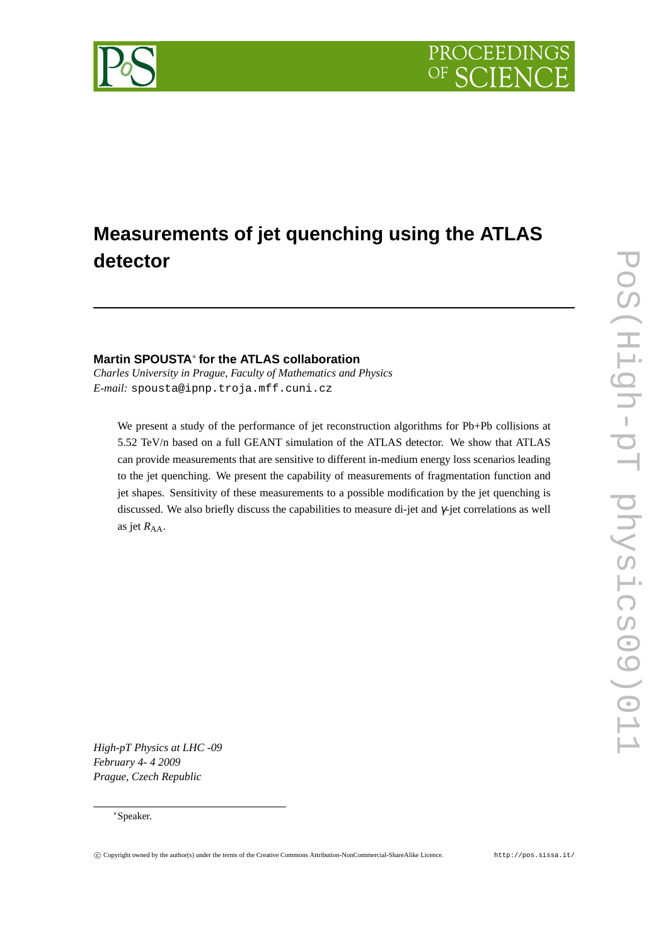

# **Measurements of jet quenching using the ATLAS detector**

# **Martin SPOUSTA**<sup>∗</sup> **for the ATLAS collaboration**

*Charles University in Prague, Faculty of Mathematics and Physics E-mail:* spousta@ipnp.troja.mff.cuni.cz

We present a study of the performance of jet reconstruction algorithms for Pb+Pb collisions at 5.52 TeV/n based on a full GEANT simulation of the ATLAS detector. We show that ATLAS can provide measurements that are sensitive to different in-medium energy loss scenarios leading to the jet quenching. We present the capability of measurements of fragmentation function and jet shapes. Sensitivity of these measurements to a possible modification by the jet quenching is discussed. We also briefly discuss the capabilities to measure di-jet and  $\gamma$ -jet correlations as well as jet  $R_{AA}$ .

*High-pT Physics at LHC -09 February 4- 4 2009 Prague, Czech Republic*

### <sup>∗</sup>Speaker.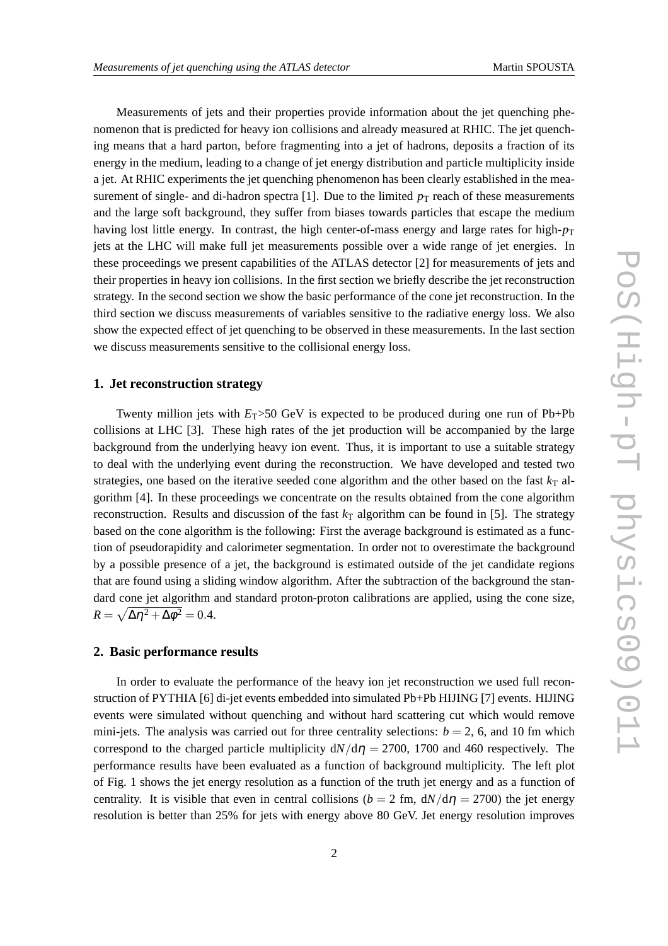Measurements of jets and their properties provide information about the jet quenching phenomenon that is predicted for heavy ion collisions and already measured at RHIC. The jet quenching means that a hard parton, before fragmenting into a jet of hadrons, deposits a fraction of its energy in the medium, leading to a change of jet energy distribution and particle multiplicity inside a jet. At RHIC experiments the jet quenching phenomenon has been clearly established in the measurement of single- and di-hadron spectra [1]. Due to the limited  $p<sub>T</sub>$  reach of these measurements and the large soft background, they suffer from biases towards particles that escape the medium having lost little energy. In contrast, the high center-of-mass energy and large rates for high- $p_T$ jets at the LHC will make full jet measurements possible over a wide range of jet energies. In these proceedings we present capabilities of the ATLAS detector [2] for measurements of jets and their properties in heavy ion collisions. In the first section we briefly describe the jet reconstruction strategy. In the second section we show the basic performance of the cone jet reconstruction. In the third section we discuss measurements of variables sensitive to the radiative energy loss. We also show the expected effect of jet quenching to be observed in these measurements. In the last section we discuss measurements sensitive to the collisional energy loss.

#### **1. Jet reconstruction strategy**

Twenty million jets with  $E_T > 50$  GeV is expected to be produced during one run of Pb+Pb collisions at LHC [3]. These high rates of the jet production will be accompanied by the large background from the underlying heavy ion event. Thus, it is important to use a suitable strategy to deal with the underlying event during the reconstruction. We have developed and tested two strategies, one based on the iterative seeded cone algorithm and the other based on the fast  $k_T$  algorithm [4]. In these proceedings we concentrate on the results obtained from the cone algorithm reconstruction. Results and discussion of the fast  $k<sub>T</sub>$  algorithm can be found in [5]. The strategy based on the cone algorithm is the following: First the average background is estimated as a function of pseudorapidity and calorimeter segmentation. In order not to overestimate the background by a possible presence of a jet, the background is estimated outside of the jet candidate regions that are found using a sliding window algorithm. After the subtraction of the background the standard cone jet algorithm and standard proton-proton calibrations are applied, using the cone size,  $R = \sqrt{\Delta \eta^2 + \Delta \phi^2} = 0.4.$ 

#### **2. Basic performance results**

In order to evaluate the performance of the heavy ion jet reconstruction we used full reconstruction of PYTHIA [6] di-jet events embedded into simulated Pb+Pb HIJING [7] events. HIJING events were simulated without quenching and without hard scattering cut which would remove mini-jets. The analysis was carried out for three centrality selections:  $b = 2$ , 6, and 10 fm which correspond to the charged particle multiplicity  $dN/d\eta = 2700$ , 1700 and 460 respectively. The performance results have been evaluated as a function of background multiplicity. The left plot of Fig. 1 shows the jet energy resolution as a function of the truth jet energy and as a function of centrality. It is visible that even in central collisions ( $b = 2$  fm,  $\frac{dN}{d\eta} = 2700$ ) the jet energy resolution is better than 25% for jets with energy above 80 GeV. Jet energy resolution improves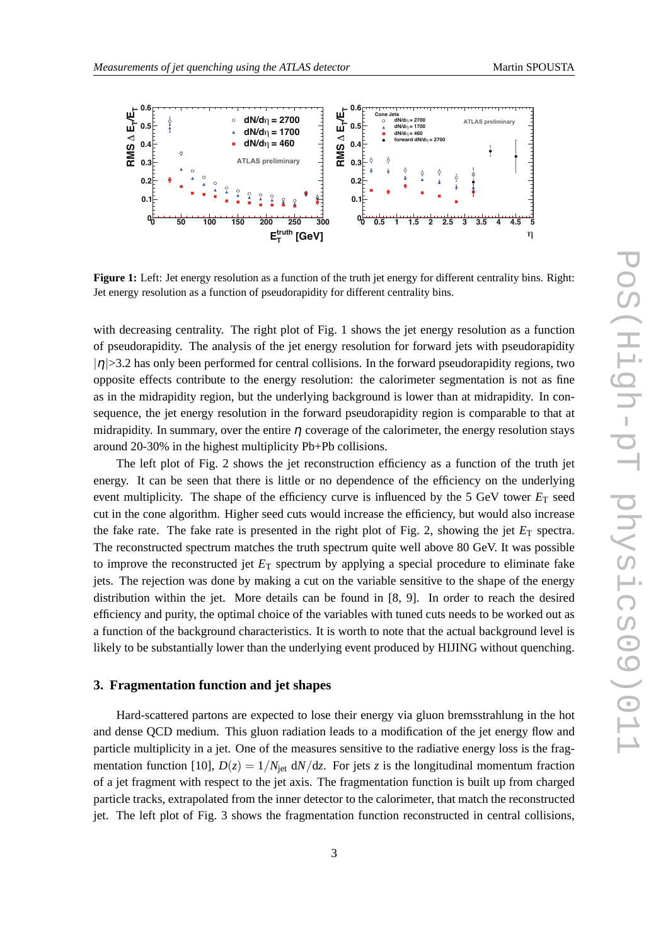



**Figure 1:** Left: Jet energy resolution as a function of the truth jet energy for different centrality bins. Right: Jet energy resolution as a function of pseudorapidity for different centrality bins.

with decreasing centrality. The right plot of Fig. 1 shows the jet energy resolution as a function of pseudorapidity. The analysis of the jet energy resolution for forward jets with pseudorapidity  $|\eta|$  >3.2 has only been performed for central collisions. In the forward pseudorapidity regions, two opposite effects contribute to the energy resolution: the calorimeter segmentation is not as fine as in the midrapidity region, but the underlying background is lower than at midrapidity. In consequence, the jet energy resolution in the forward pseudorapidity region is comparable to that at midrapidity. In summary, over the entire  $\eta$  coverage of the calorimeter, the energy resolution stays around 20-30% in the highest multiplicity Pb+Pb collisions.

The left plot of Fig. 2 shows the jet reconstruction efficiency as a function of the truth jet energy. It can be seen that there is little or no dependence of the efficiency on the underlying event multiplicity. The shape of the efficiency curve is influenced by the 5 GeV tower  $E_T$  seed cut in the cone algorithm. Higher seed cuts would increase the efficiency, but would also increase the fake rate. The fake rate is presented in the right plot of Fig. 2, showing the jet  $E_T$  spectra. The reconstructed spectrum matches the truth spectrum quite well above 80 GeV. It was possible to improve the reconstructed jet  $E_T$  spectrum by applying a special procedure to eliminate fake jets. The rejection was done by making a cut on the variable sensitive to the shape of the energy distribution within the jet. More details can be found in [8, 9]. In order to reach the desired efficiency and purity, the optimal choice of the variables with tuned cuts needs to be worked out as a function of the background characteristics. It is worth to note that the actual background level is likely to be substantially lower than the underlying event produced by HIJING without quenching.

## **3. Fragmentation function and jet shapes**

Hard-scattered partons are expected to lose their energy via gluon bremsstrahlung in the hot and dense QCD medium. This gluon radiation leads to a modification of the jet energy flow and particle multiplicity in a jet. One of the measures sensitive to the radiative energy loss is the fragmentation function [10],  $D(z) = 1/N_{jet} dN/dz$ . For jets *z* is the longitudinal momentum fraction of a jet fragment with respect to the jet axis. The fragmentation function is built up from charged particle tracks, extrapolated from the inner detector to the calorimeter, that match the reconstructed jet. The left plot of Fig. 3 shows the fragmentation function reconstructed in central collisions,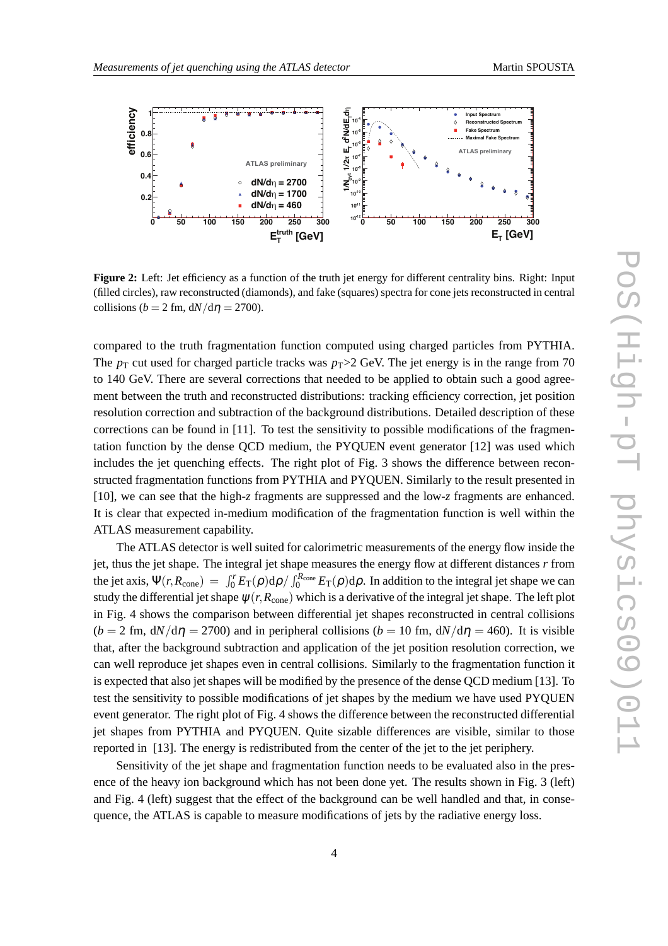

**Figure 2:** Left: Jet efficiency as a function of the truth jet energy for different centrality bins. Right: Input (filled circles), raw reconstructed (diamonds), and fake (squares) spectra for cone jets reconstructed in central collisions ( $b = 2$  fm,  $dN/d\eta = 2700$ ).

compared to the truth fragmentation function computed using charged particles from PYTHIA. The  $p_T$  cut used for charged particle tracks was  $p_T > 2$  GeV. The jet energy is in the range from 70 to 140 GeV. There are several corrections that needed to be applied to obtain such a good agreement between the truth and reconstructed distributions: tracking efficiency correction, jet position resolution correction and subtraction of the background distributions. Detailed description of these corrections can be found in [11]. To test the sensitivity to possible modifications of the fragmentation function by the dense QCD medium, the PYQUEN event generator [12] was used which includes the jet quenching effects. The right plot of Fig. 3 shows the difference between reconstructed fragmentation functions from PYTHIA and PYQUEN. Similarly to the result presented in [10], we can see that the high-*z* fragments are suppressed and the low-*z* fragments are enhanced. It is clear that expected in-medium modification of the fragmentation function is well within the ATLAS measurement capability.

The ATLAS detector is well suited for calorimetric measurements of the energy flow inside the jet, thus the jet shape. The integral jet shape measures the energy flow at different distances *r* from the jet axis,  $\Psi(r, R_{cone}) = \int_0^r E_T(\rho) d\rho / \int_0^{R_{cone}} E_T(\rho) d\rho$ . In addition to the integral jet shape we can study the differential jet shape  $\psi(r, R_{cone})$  which is a derivative of the integral jet shape. The left plot in Fig. 4 shows the comparison between differential jet shapes reconstructed in central collisions  $(b = 2$  fm,  $\frac{dN}{d\eta} = 2700$  and in peripheral collisions  $(b = 10$  fm,  $\frac{dN}{d\eta} = 460$ . It is visible that, after the background subtraction and application of the jet position resolution correction, we can well reproduce jet shapes even in central collisions. Similarly to the fragmentation function it is expected that also jet shapes will be modified by the presence of the dense QCD medium [13]. To test the sensitivity to possible modifications of jet shapes by the medium we have used PYQUEN event generator. The right plot of Fig. 4 shows the difference between the reconstructed differential jet shapes from PYTHIA and PYQUEN. Quite sizable differences are visible, similar to those reported in [13]. The energy is redistributed from the center of the jet to the jet periphery.

Sensitivity of the jet shape and fragmentation function needs to be evaluated also in the presence of the heavy ion background which has not been done yet. The results shown in Fig. 3 (left) and Fig. 4 (left) suggest that the effect of the background can be well handled and that, in consequence, the ATLAS is capable to measure modifications of jets by the radiative energy loss.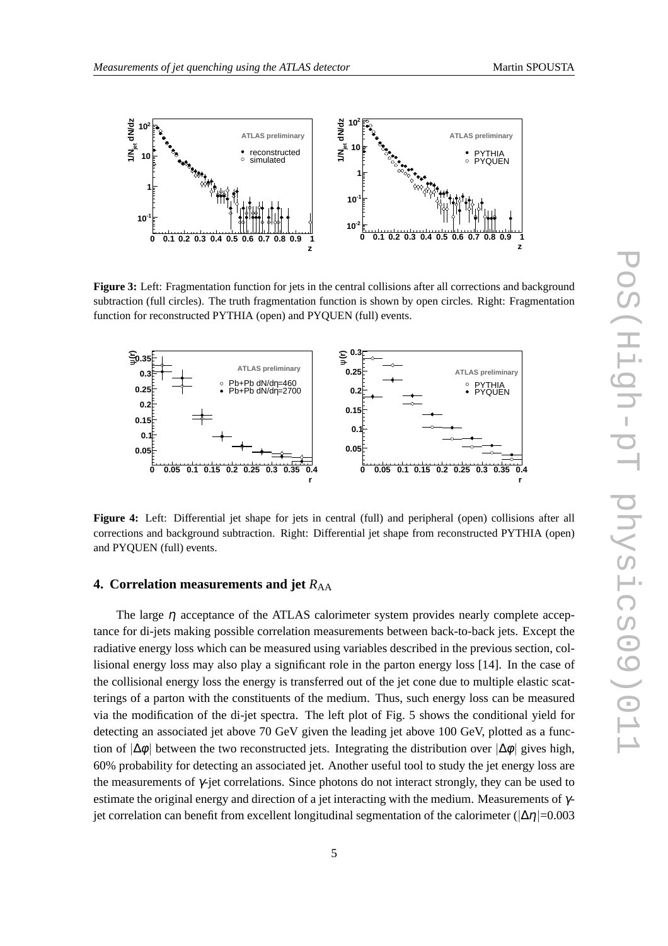

**Figure 3:** Left: Fragmentation function for jets in the central collisions after all corrections and background subtraction (full circles). The truth fragmentation function is shown by open circles. Right: Fragmentation function for reconstructed PYTHIA (open) and PYQUEN (full) events.



**Figure 4:** Left: Differential jet shape for jets in central (full) and peripheral (open) collisions after all corrections and background subtraction. Right: Differential jet shape from reconstructed PYTHIA (open) and PYQUEN (full) events.

# **4. Correlation measurements and jet**  $R_{AA}$

The large  $\eta$  acceptance of the ATLAS calorimeter system provides nearly complete acceptance for di-jets making possible correlation measurements between back-to-back jets. Except the radiative energy loss which can be measured using variables described in the previous section, collisional energy loss may also play a significant role in the parton energy loss [14]. In the case of the collisional energy loss the energy is transferred out of the jet cone due to multiple elastic scatterings of a parton with the constituents of the medium. Thus, such energy loss can be measured via the modification of the di-jet spectra. The left plot of Fig. 5 shows the conditional yield for detecting an associated jet above 70 GeV given the leading jet above 100 GeV, plotted as a function of  $|\Delta\phi|$  between the two reconstructed jets. Integrating the distribution over  $|\Delta\phi|$  gives high, 60% probability for detecting an associated jet. Another useful tool to study the jet energy loss are the measurements of γ-jet correlations. Since photons do not interact strongly, they can be used to estimate the original energy and direction of a jet interacting with the medium. Measurements of  $\gamma$ jet correlation can benefit from excellent longitudinal segmentation of the calorimeter ( $|\Delta \eta|$ =0.003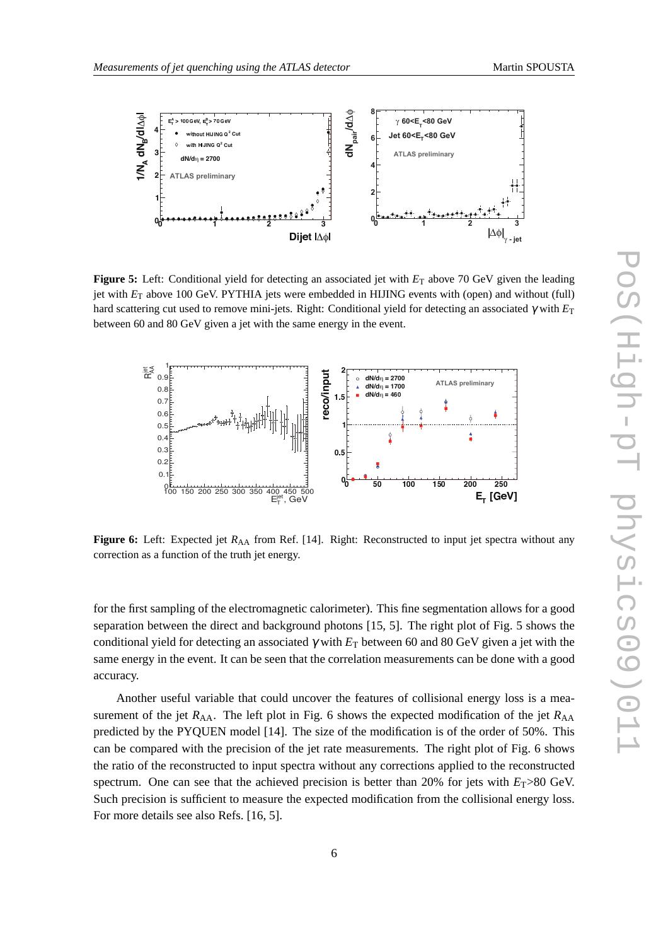

**Figure 5:** Left: Conditional yield for detecting an associated jet with  $E<sub>T</sub>$  above 70 GeV given the leading jet with *E*<sup>T</sup> above 100 GeV. PYTHIA jets were embedded in HIJING events with (open) and without (full) hard scattering cut used to remove mini-jets. Right: Conditional yield for detecting an associated <sup>γ</sup> with *E*<sup>T</sup> between 60 and 80 GeV given a jet with the same energy in the event.



**Figure 6:** Left: Expected jet  $R_{AA}$  from Ref. [14]. Right: Reconstructed to input jet spectra without any correction as a function of the truth jet energy.

for the first sampling of the electromagnetic calorimeter). This fine segmentation allows for a good separation between the direct and background photons [15, 5]. The right plot of Fig. 5 shows the conditional yield for detecting an associated <sup>γ</sup> with *E*<sup>T</sup> between 60 and 80 GeV given a jet with the same energy in the event. It can be seen that the correlation measurements can be done with a good accuracy.

Another useful variable that could uncover the features of collisional energy loss is a measurement of the jet  $R_{AA}$ . The left plot in Fig. 6 shows the expected modification of the jet  $R_{AA}$ predicted by the PYQUEN model [14]. The size of the modification is of the order of 50%. This can be compared with the precision of the jet rate measurements. The right plot of Fig. 6 shows the ratio of the reconstructed to input spectra without any corrections applied to the reconstructed spectrum. One can see that the achieved precision is better than 20% for jets with  $E_T > 80$  GeV. Such precision is sufficient to measure the expected modification from the collisional energy loss. For more details see also Refs. [16, 5].